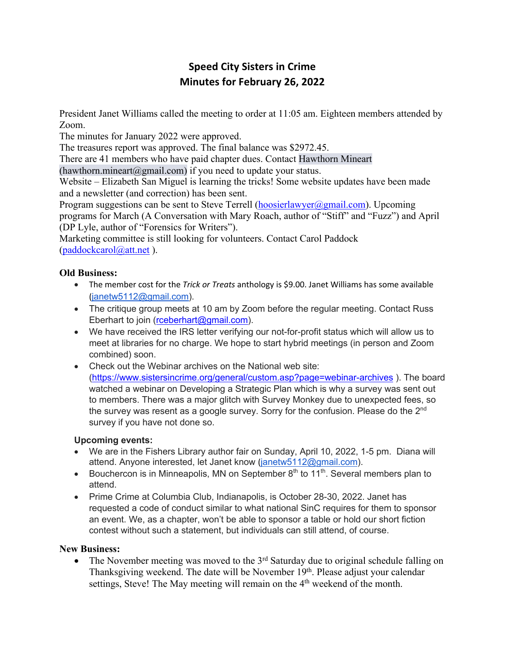# **Speed City Sisters in Crime Minutes for February 26, 2022**

President Janet Williams called the meeting to order at 11:05 am. Eighteen members attended by Zoom.

The minutes for January 2022 were approved.

The treasures report was approved. The final balance was \$2972.45.

There are 41 members who have paid chapter dues. Contact Hawthorn Mineart

(hawthorn.mineart@gmail.com) if you need to update your status.

Website – Elizabeth San Miguel is learning the tricks! Some website updates have been made and a newsletter (and correction) has been sent.

Program suggestions can be sent to Steve Terrell (hoosierlawyer@gmail.com). Upcoming programs for March (A Conversation with Mary Roach, author of "Stiff" and "Fuzz") and April (DP Lyle, author of "Forensics for Writers").

Marketing committee is still looking for volunteers. Contact Carol Paddock (paddockcarol@att.net ).

## **Old Business:**

- The member cost for the *Trick or Treats* anthology is \$9.00. Janet Williams has some available (janetw5112@gmail.com).
- The critique group meets at 10 am by Zoom before the regular meeting. Contact Russ Eberhart to join (rceberhart@gmail.com).
- We have received the IRS letter verifying our not-for-profit status which will allow us to meet at libraries for no charge. We hope to start hybrid meetings (in person and Zoom combined) soon.
- Check out the Webinar archives on the National web site: (https://www.sistersincrime.org/general/custom.asp?page=webinar-archives ). The board watched a webinar on Developing a Strategic Plan which is why a survey was sent out to members. There was a major glitch with Survey Monkey due to unexpected fees, so the survey was resent as a google survey. Sorry for the confusion. Please do the  $2<sup>nd</sup>$ survey if you have not done so.

## **Upcoming events:**

- We are in the Fishers Library author fair on Sunday, April 10, 2022, 1-5 pm. Diana will attend. Anyone interested, let Janet know (janetw5112@gmail.com).
- Bouchercon is in Minneapolis, MN on September  $8<sup>th</sup>$  to 11<sup>th</sup>. Several members plan to attend.
- Prime Crime at Columbia Club, Indianapolis, is October 28-30, 2022. Janet has requested a code of conduct similar to what national SinC requires for them to sponsor an event. We, as a chapter, won't be able to sponsor a table or hold our short fiction contest without such a statement, but individuals can still attend, of course.

## **New Business:**

• The November meeting was moved to the  $3<sup>rd</sup>$  Saturday due to original schedule falling on Thanksgiving weekend. The date will be November 19<sup>th</sup>. Please adjust your calendar settings, Steve! The May meeting will remain on the  $4<sup>th</sup>$  weekend of the month.